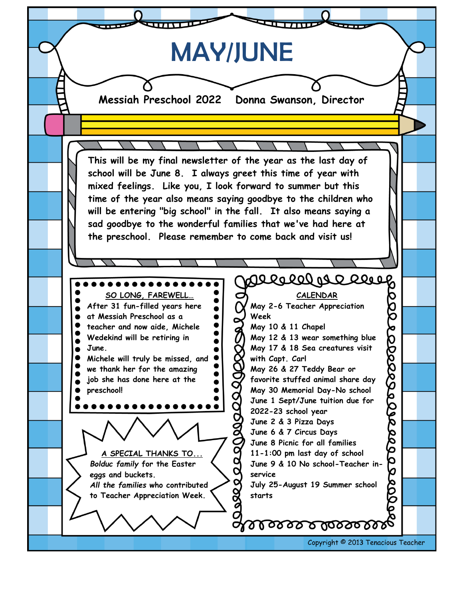MAY/JUNE**Messiah Preschool 2022 Donna Swanson, Director This will be my final newsletter of the year as the last day of school will be June 8. I always greet this time of year with mixed feelings. Like you, I look forward to summer but this time of the year also means saying goodbye to the children who will be entering "big school" in the fall. It also means saying a sad goodbye to the wonderful families that we've had here at the preschool. Please remember to come back and visit us!** Voroographe **SO LONG, FAREWELL… CALENDAR 200 After 31 fun-filled years here May 2-6 Teacher Appreciation at Messiah Preschool as a Week teacher and now aide, Michele** 999999999999999999 **May 10 & 11 Chapel** 000000000 **Wedekind will be retiring in May 12 & 13 wear something blue June. May 17 & 18 Sea creatures visit with Capt. Carl Michele will truly be missed, and we thank her for the amazing May 26 & 27 Teddy Bear or job she has done here at the favorite stuffed animal share day preschool! May 30 Memorial Day-No school June 1 Sept/June tuition due for 2022-23 school year June 2 & 3 Pizza Days June 6 & 7 Circus Days June 8 Picnic for all families A SPECIAL THANKS TO... 11-1:00 pm last day of school** *Bolduc family* **for the Easter June 9 & 10 No school-Teacher in-** $\overline{\mathbf{o}}$ **eggs and buckets. service** ase o *All the families* **who contributed July 25-August 19 Summer school starts to Teacher Appreciation Week.** g arasaba arasark Copyright © 2013 Tenacious Teacher